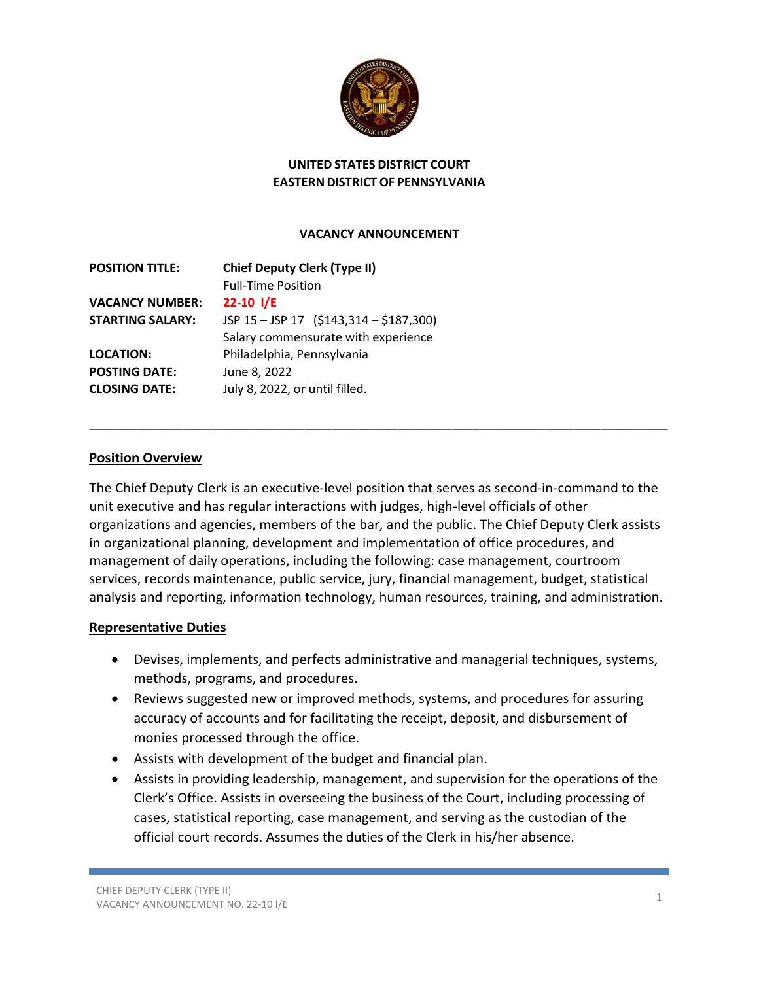

### **UNITED STATES DISTRICT COURT EASTERN DISTRICT OF PENNSYLVANIA**

#### **VACANCY ANNOUNCEMENT**

| <b>POSITION TITLE:</b>  | <b>Chief Deputy Clerk (Type II)</b><br><b>Full-Time Position</b> |
|-------------------------|------------------------------------------------------------------|
| <b>VACANCY NUMBER:</b>  | $22-10$ I/E                                                      |
| <b>STARTING SALARY:</b> | JSP 15 - JSP 17 (\$143,314 - \$187,300)                          |
|                         | Salary commensurate with experience                              |
| <b>LOCATION:</b>        | Philadelphia, Pennsylvania                                       |
| <b>POSTING DATE:</b>    | June 8, 2022                                                     |
| <b>CLOSING DATE:</b>    | July 8, 2022, or until filled.                                   |
|                         |                                                                  |

#### **Position Overview**

The Chief Deputy Clerk is an executive-level position that serves as second-in-command to the unit executive and has regular interactions with judges, high-level officials of other organizations and agencies, members of the bar, and the public. The Chief Deputy Clerk assists in organizational planning, development and implementation of office procedures, and management of daily operations, including the following: case management, courtroom services, records maintenance, public service, jury, financial management, budget, statistical analysis and reporting, information technology, human resources, training, and administration.

\_\_\_\_\_\_\_\_\_\_\_\_\_\_\_\_\_\_\_\_\_\_\_\_\_\_\_\_\_\_\_\_\_\_\_\_\_\_\_\_\_\_\_\_\_\_\_\_\_\_\_\_\_\_\_\_\_\_\_\_\_\_\_\_\_\_\_\_\_\_\_\_\_\_\_\_\_\_\_\_\_\_\_\_\_\_

#### **Representative Duties**

- Devises, implements, and perfects administrative and managerial techniques, systems, methods, programs, and procedures.
- Reviews suggested new or improved methods, systems, and procedures for assuring accuracy of accounts and for facilitating the receipt, deposit, and disbursement of monies processed through the office.
- Assists with development of the budget and financial plan.
- Assists in providing leadership, management, and supervision for the operations of the Clerk's Office. Assists in overseeing the business of the Court, including processing of cases, statistical reporting, case management, and serving as the custodian of the official court records. Assumes the duties of the Clerk in his/her absence.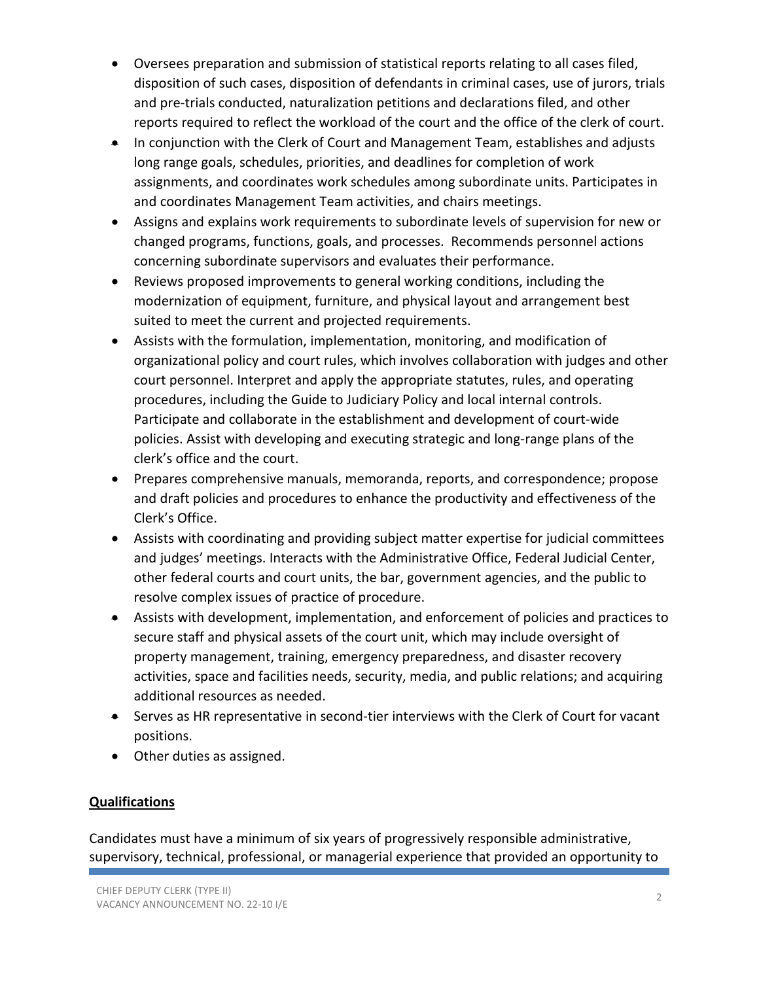- Oversees preparation and submission of statistical reports relating to all cases filed, disposition of such cases, disposition of defendants in criminal cases, use of jurors, trials and pre-trials conducted, naturalization petitions and declarations filed, and other reports required to reflect the workload of the court and the office of the clerk of court.
- In conjunction with the Clerk of Court and Management Team, establishes and adjusts long range goals, schedules, priorities, and deadlines for completion of work assignments, and coordinates work schedules among subordinate units. Participates in and coordinates Management Team activities, and chairs meetings.
- Assigns and explains work requirements to subordinate levels of supervision for new or changed programs, functions, goals, and processes. Recommends personnel actions concerning subordinate supervisors and evaluates their performance.
- Reviews proposed improvements to general working conditions, including the modernization of equipment, furniture, and physical layout and arrangement best suited to meet the current and projected requirements.
- Assists with the formulation, implementation, monitoring, and modification of organizational policy and court rules, which involves collaboration with judges and other court personnel. Interpret and apply the appropriate statutes, rules, and operating procedures, including the Guide to Judiciary Policy and local internal controls. Participate and collaborate in the establishment and development of court-wide policies. Assist with developing and executing strategic and long-range plans of the clerk's office and the court.
- Prepares comprehensive manuals, memoranda, reports, and correspondence; propose and draft policies and procedures to enhance the productivity and effectiveness of the Clerk's Office.
- Assists with coordinating and providing subject matter expertise for judicial committees and judges' meetings. Interacts with the Administrative Office, Federal Judicial Center, other federal courts and court units, the bar, government agencies, and the public to resolve complex issues of practice of procedure.
- Assists with development, implementation, and enforcement of policies and practices to secure staff and physical assets of the court unit, which may include oversight of property management, training, emergency preparedness, and disaster recovery activities, space and facilities needs, security, media, and public relations; and acquiring additional resources as needed.
- Serves as HR representative in second-tier interviews with the Clerk of Court for vacant positions.
- Other duties as assigned.

# **Qualifications**

Candidates must have a minimum of six years of progressively responsible administrative, supervisory, technical, professional, or managerial experience that provided an opportunity to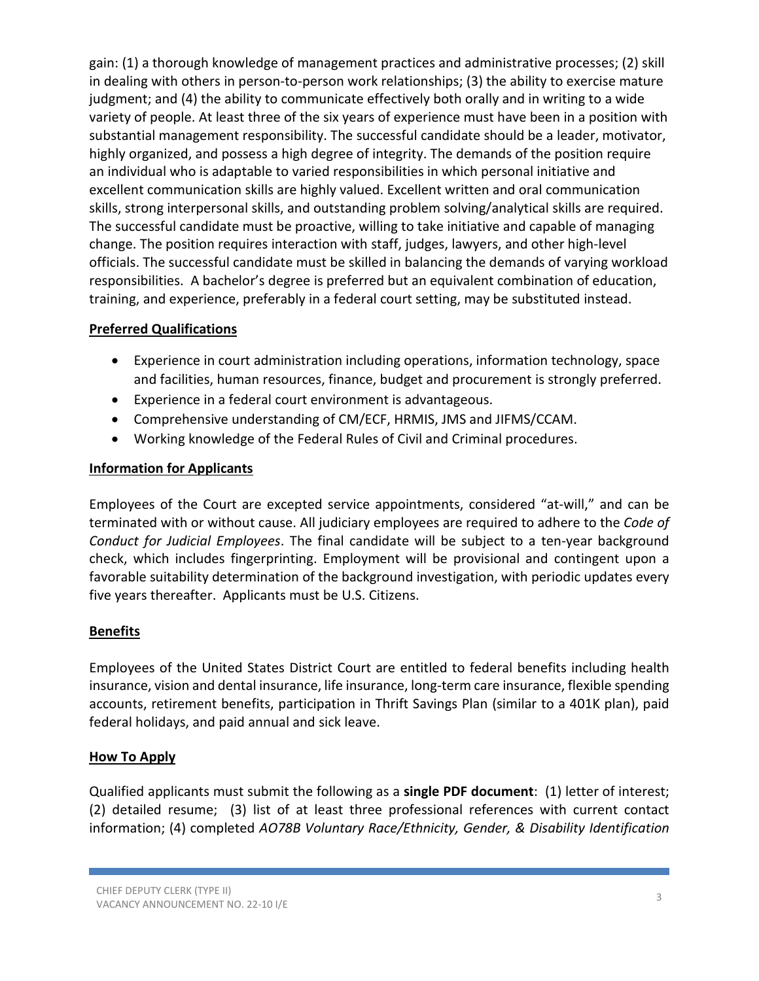gain: (1) a thorough knowledge of management practices and administrative processes; (2) skill in dealing with others in person-to-person work relationships; (3) the ability to exercise mature judgment; and (4) the ability to communicate effectively both orally and in writing to a wide variety of people. At least three of the six years of experience must have been in a position with substantial management responsibility. The successful candidate should be a leader, motivator, highly organized, and possess a high degree of integrity. The demands of the position require an individual who is adaptable to varied responsibilities in which personal initiative and excellent communication skills are highly valued. Excellent written and oral communication skills, strong interpersonal skills, and outstanding problem solving/analytical skills are required. The successful candidate must be proactive, willing to take initiative and capable of managing change. The position requires interaction with staff, judges, lawyers, and other high-level officials. The successful candidate must be skilled in balancing the demands of varying workload responsibilities. A bachelor's degree is preferred but an equivalent combination of education, training, and experience, preferably in a federal court setting, may be substituted instead.

## **Preferred Qualifications**

- Experience in court administration including operations, information technology, space and facilities, human resources, finance, budget and procurement is strongly preferred.
- Experience in a federal court environment is advantageous.
- Comprehensive understanding of CM/ECF, HRMIS, JMS and JIFMS/CCAM.
- Working knowledge of the Federal Rules of Civil and Criminal procedures.

## **Information for Applicants**

Employees of the Court are excepted service appointments, considered "at-will," and can be terminated with or without cause. All judiciary employees are required to adhere to the *Code of Conduct for Judicial Employees*. The final candidate will be subject to a ten-year background check, which includes fingerprinting. Employment will be provisional and contingent upon a favorable suitability determination of the background investigation, with periodic updates every five years thereafter. Applicants must be U.S. Citizens.

## **Benefits**

Employees of the United States District Court are entitled to federal benefits including health insurance, vision and dental insurance, life insurance, long-term care insurance, flexible spending accounts, retirement benefits, participation in Thrift Savings Plan (similar to a 401K plan), paid federal holidays, and paid annual and sick leave.

## **How To Apply**

Qualified applicants must submit the following as a **single PDF document**: (1) letter of interest; (2) detailed resume; (3) list of at least three professional references with current contact information; (4) completed *AO78B Voluntary Race/Ethnicity, Gender, & Disability Identification*